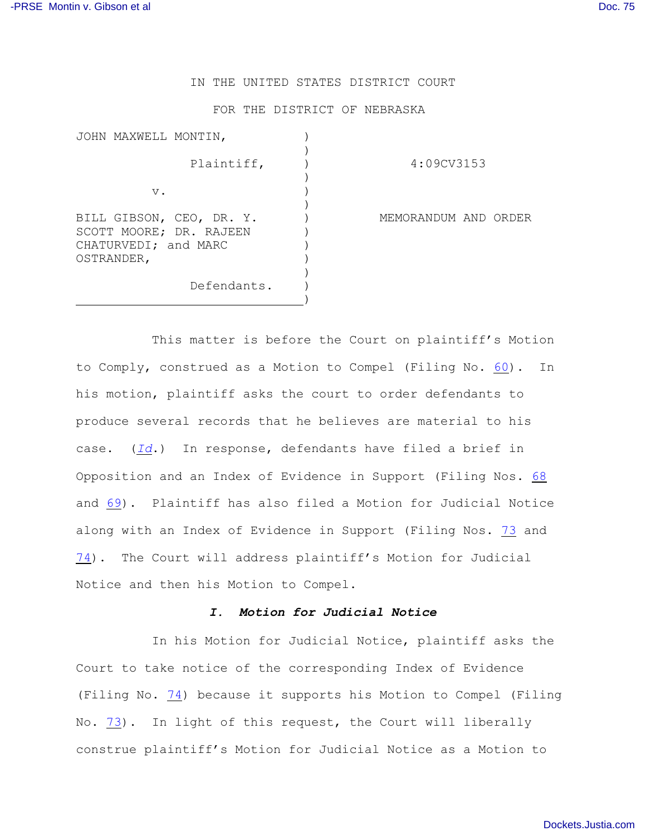## IN THE UNITED STATES DISTRICT COURT

## FOR THE DISTRICT OF NEBRASKA

| JOHN MAXWELL MONTIN,               |                                                     |  |
|------------------------------------|-----------------------------------------------------|--|
|                                    | Plaintiff,                                          |  |
| v.                                 |                                                     |  |
| CHATURVEDI; and MARC<br>OSTRANDER, | BILL GIBSON, CEO, DR. Y.<br>SCOTT MOORE; DR. RAJEEN |  |
|                                    | Defendants.                                         |  |

Plaintiff, ) 4:09CV3153

MEMORANDUM AND ORDER

This matter is before the Court on plaintiff's Motion to Comply, construed as a Motion to Compel (Filing No. [60](http://ecf.ned.uscourts.gov/doc1/11302319783)). In his motion, plaintiff asks the court to order defendants to produce several records that he believes are material to his case. (*[Id](https://ecf.ned.uscourts.gov/doc1/11312319783)*.) In response, defendants have filed a brief in Opposition and an Index of Evidence in Support (Filing Nos. [68](https://ecf.ned.uscourts.gov/doc1/11312336265) and [69](https://ecf.ned.uscourts.gov/doc1/11302336273)). Plaintiff has also filed a Motion for Judicial Notice along with an Index of Evidence in Support (Filing Nos. [73](https://ecf.ned.uscourts.gov/doc1/11312351421) and [74](https://ecf.ned.uscourts.gov/doc1/11302351427)). The Court will address plaintiff's Motion for Judicial Notice and then his Motion to Compel.

## *I. Motion for Judicial Notice*

In his Motion for Judicial Notice, plaintiff asks the Court to take notice of the corresponding Index of Evidence (Filing No. [74](https://ecf.ned.uscourts.gov/doc1/11302351427)) because it supports his Motion to Compel (Filing No. [73](http://ecf.ned.uscourts.gov/doc1/11302351421)). In light of this request, the Court will liberally construe plaintiff's Motion for Judicial Notice as a Motion to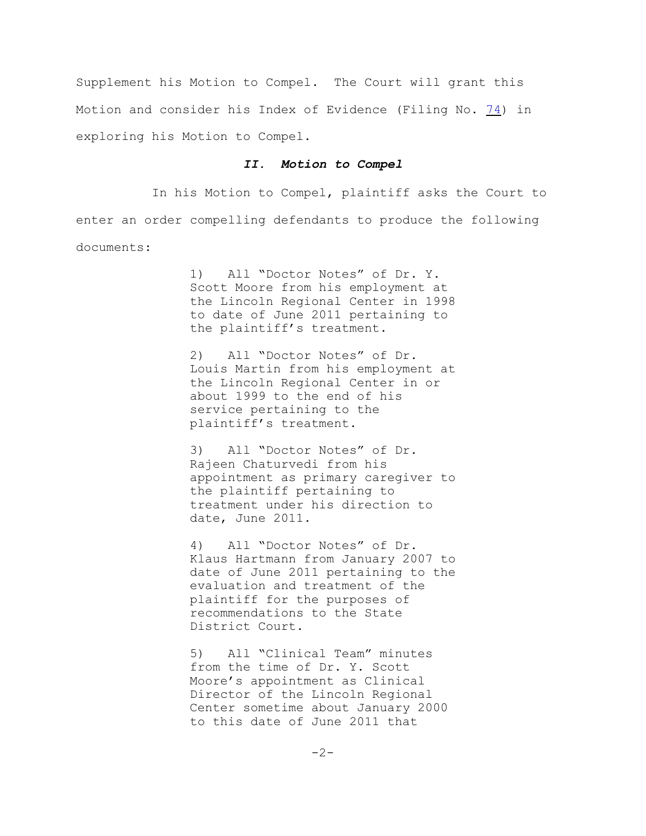Supplement his Motion to Compel. The Court will grant this Motion and consider his Index of Evidence (Filing No. [74](http://ecf.ned.uscourts.gov/doc1/11302351427)) in exploring his Motion to Compel.

## *II. Motion to Compel*

In his Motion to Compel, plaintiff asks the Court to enter an order compelling defendants to produce the following documents:

> 1) All "Doctor Notes" of Dr. Y. Scott Moore from his employment at the Lincoln Regional Center in 1998 to date of June 2011 pertaining to the plaintiff's treatment.

> 2) All "Doctor Notes" of Dr. Louis Martin from his employment at the Lincoln Regional Center in or about 1999 to the end of his service pertaining to the plaintiff's treatment.

> 3) All "Doctor Notes" of Dr. Rajeen Chaturvedi from his appointment as primary caregiver to the plaintiff pertaining to treatment under his direction to date, June 2011.

> 4) All "Doctor Notes" of Dr. Klaus Hartmann from January 2007 to date of June 2011 pertaining to the evaluation and treatment of the plaintiff for the purposes of recommendations to the State District Court.

5) All "Clinical Team" minutes from the time of Dr. Y. Scott Moore's appointment as Clinical Director of the Lincoln Regional Center sometime about January 2000 to this date of June 2011 that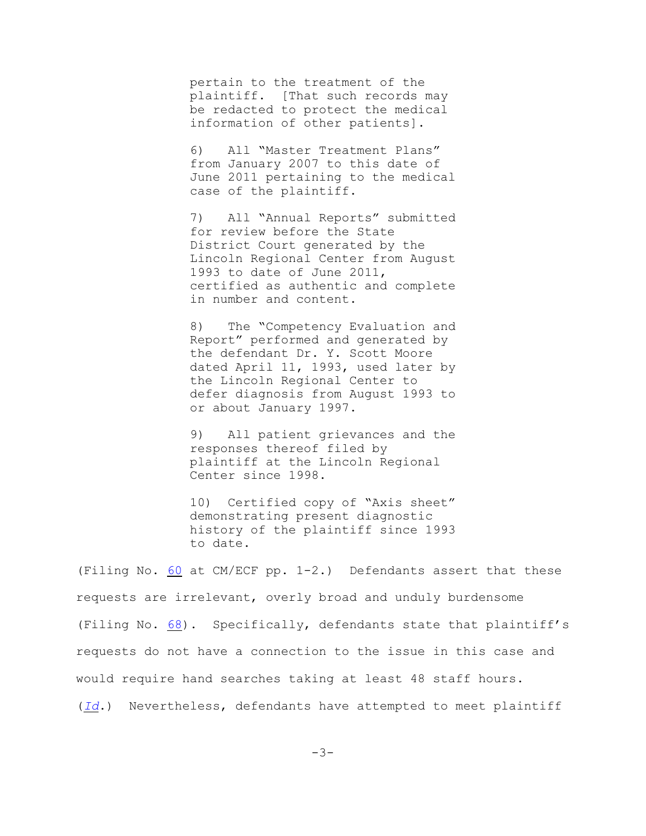pertain to the treatment of the plaintiff. [That such records may be redacted to protect the medical information of other patients].

6) All "Master Treatment Plans" from January 2007 to this date of June 2011 pertaining to the medical case of the plaintiff.

7) All "Annual Reports" submitted for review before the State District Court generated by the Lincoln Regional Center from August 1993 to date of June 2011, certified as authentic and complete in number and content.

8) The "Competency Evaluation and Report" performed and generated by the defendant Dr. Y. Scott Moore dated April 11, 1993, used later by the Lincoln Regional Center to defer diagnosis from August 1993 to or about January 1997.

9) All patient grievances and the responses thereof filed by plaintiff at the Lincoln Regional Center since 1998.

10) Certified copy of "Axis sheet" demonstrating present diagnostic history of the plaintiff since 1993 to date.

(Filing No. [60](https://ecf.ned.uscourts.gov/doc1/11312319783) at CM/ECF pp. 1-2.) Defendants assert that these requests are irrelevant, overly broad and unduly burdensome (Filing No. [68](https://ecf.ned.uscourts.gov/doc1/11312336265)). Specifically, defendants state that plaintiff's requests do not have a connection to the issue in this case and would require hand searches taking at least 48 staff hours.

(*[Id](https://ecf.ned.uscourts.gov/doc1/11312336265)*.) Nevertheless, defendants have attempted to meet plaintiff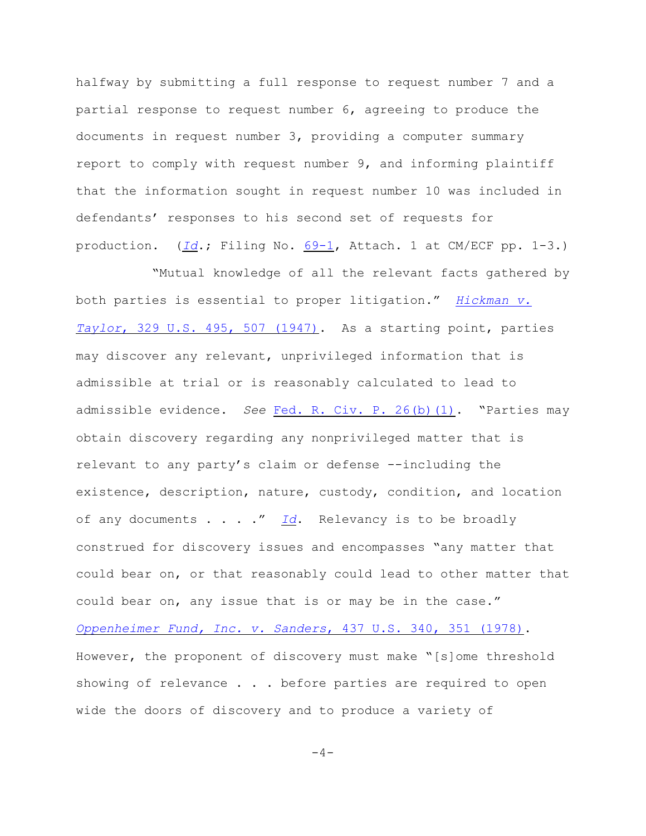halfway by submitting a full response to request number 7 and a partial response to request number 6, agreeing to produce the documents in request number 3, providing a computer summary report to comply with request number 9, and informing plaintiff that the information sought in request number 10 was included in defendants' responses to his second set of requests for production. (*[Id](https://ecf.ned.uscourts.gov/doc1/11312336265)*.; Filing No. [69-1](https://ecf.ned.uscourts.gov/doc1/11312336274), Attach. 1 at CM/ECF pp. 1-3.)

 "Mutual knowledge of all the relevant facts gathered by both parties is essential to proper litigation." *[Hickman v.](http://web2.westlaw.com/find/default.wl?rp=%2ffind%2fdefault.wl&sv=Split&rs=WLW11.07&cite=329+U.S.+507&fn=_top&mt=Westlaw&vr=2.0&pbc=B5A829E2) Taylor*[, 329 U.S. 495, 507 \(1947\)](http://web2.westlaw.com/find/default.wl?rp=%2ffind%2fdefault.wl&sv=Split&rs=WLW11.07&cite=329+U.S.+507&fn=_top&mt=Westlaw&vr=2.0&pbc=B5A829E2). As a starting point, parties may discover any relevant, unprivileged information that is admissible at trial or is reasonably calculated to lead to admissible evidence. *See* [Fed. R. Civ. P. 26\(b\)\(1\)](http://web2.westlaw.com/find/default.wl?rp=%2ffind%2fdefault.wl&sv=Split&rs=WLW11.07&cite=Fed.+R.+Civ.+P.+26&fn=_top&mt=Westlaw&vr=2.0&pbc=B5A829E2). "Parties may obtain discovery regarding any nonprivileged matter that is relevant to any party's claim or defense --including the existence, description, nature, custody, condition, and location of any documents . . . ." *[Id](http://web2.westlaw.com/find/default.wl?rp=%2ffind%2fdefault.wl&sv=Split&rs=WLW11.07&cite=Fed.+R.+Civ.+P.+26&fn=_top&mt=Westlaw&vr=2.0&pbc=B5A829E2)*. Relevancy is to be broadly construed for discovery issues and encompasses "any matter that could bear on, or that reasonably could lead to other matter that could bear on, any issue that is or may be in the case." *[Oppenheimer Fund, Inc. v. Sanders](http://web2.westlaw.com/find/default.wl?rp=%2ffind%2fdefault.wl&sv=Split&rs=WLW11.07&cite=437+U.S.+351&fn=_top&mt=Westlaw&vr=2.0&pbc=B5A829E2)*, 437 U.S. 340, 351 (1978). However, the proponent of discovery must make "[s]ome threshold showing of relevance . . . before parties are required to open wide the doors of discovery and to produce a variety of

 $-4-$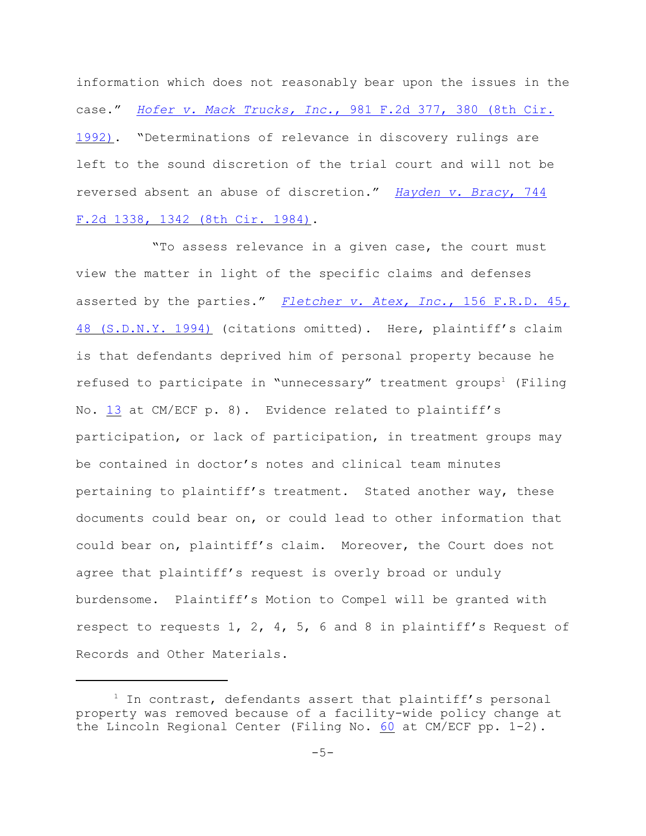information which does not reasonably bear upon the issues in the case." *Hofer v. Mack Trucks, Inc.*[, 981 F.2d 377, 380 \(8th Cir.](http://web2.westlaw.com/find/default.wl?rp=%2ffind%2fdefault.wl&sv=Split&rs=WLW11.07&cite=981+F.2d+380&fn=_top&mt=Westlaw&vr=2.0&pbc=B5A829E2) [1992\)](http://web2.westlaw.com/find/default.wl?rp=%2ffind%2fdefault.wl&sv=Split&rs=WLW11.07&cite=981+F.2d+380&fn=_top&mt=Westlaw&vr=2.0&pbc=B5A829E2). "Determinations of relevance in discovery rulings are left to the sound discretion of the trial court and will not be reversed absent an abuse of discretion." *[Hayden v. Bracy](http://web2.westlaw.com/find/default.wl?rp=%2ffind%2fdefault.wl&sv=Split&rs=WLW11.07&cite=744+F.2d+1342&fn=_top&mt=Westlaw&vr=2.0&pbc=B5A829E2)*, 744 [F.2d 1338, 1342 \(8th Cir. 1984\)](http://web2.westlaw.com/find/default.wl?rp=%2ffind%2fdefault.wl&sv=Split&rs=WLW11.07&cite=744+F.2d+1342&fn=_top&mt=Westlaw&vr=2.0&pbc=B5A829E2).

"To assess relevance in a given case, the court must view the matter in light of the specific claims and defenses asserted by the parties." *[Fletcher v. Atex, Inc.](http://web2.westlaw.com/find/default.wl?rp=%2ffind%2fdefault.wl&sv=Split&rs=WLW11.07&cite=+156+F.R.D.+48&fn=_top&mt=Westlaw&vr=2.0&pbc=B5A829E2)*, 156 F.R.D. 45, [48 \(S.D.N.Y. 1994\)](http://web2.westlaw.com/find/default.wl?rp=%2ffind%2fdefault.wl&sv=Split&rs=WLW11.07&cite=+156+F.R.D.+48&fn=_top&mt=Westlaw&vr=2.0&pbc=B5A829E2) (citations omitted). Here, plaintiff's claim is that defendants deprived him of personal property because he refused to participate in "unnecessary" treatment groups<sup>1</sup> (Filing No. [13](https://ecf.ned.uscourts.gov/doc1/11301843659) at CM/ECF p. 8). Evidence related to plaintiff's participation, or lack of participation, in treatment groups may be contained in doctor's notes and clinical team minutes pertaining to plaintiff's treatment. Stated another way, these documents could bear on, or could lead to other information that could bear on, plaintiff's claim. Moreover, the Court does not agree that plaintiff's request is overly broad or unduly burdensome. Plaintiff's Motion to Compel will be granted with respect to requests 1, 2, 4, 5, 6 and 8 in plaintiff's Request of Records and Other Materials.

 $1$  In contrast, defendants assert that plaintiff's personal property was removed because of a facility-wide policy change at the Lincoln Regional Center (Filing No. [60](https://ecf.ned.uscourts.gov/doc1/11312319783) at CM/ECF pp. 1-2).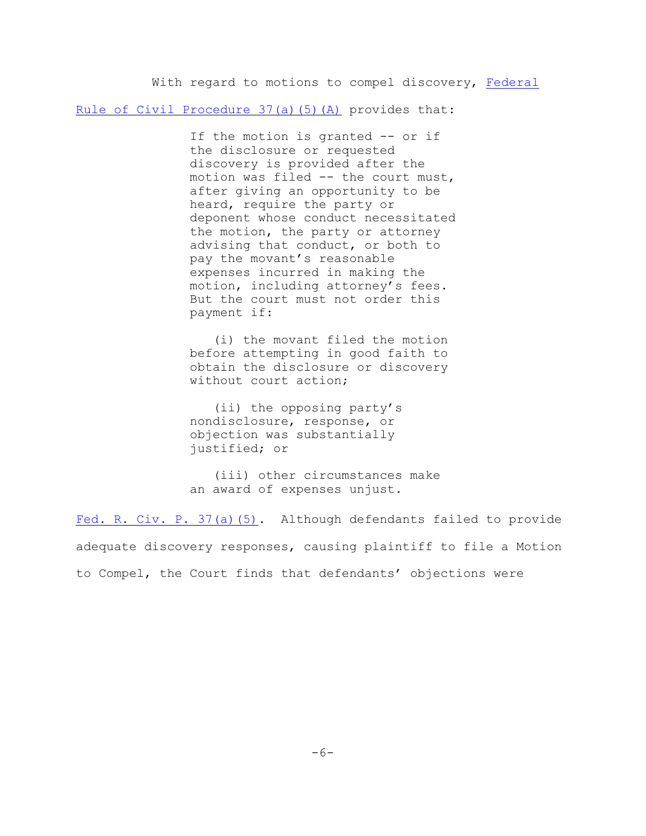With regard to motions to compel discovery, [Federal](http://web2.westlaw.com/find/default.wl?rp=%2ffind%2fdefault.wl&sv=Split&rs=WLW11.07&cite=Fed.+R.+Civ.+P.+37&fn=_top&mt=Westlaw&vr=2.0&pbc=B5A829E2)

[Rule of Civil Procedure 37\(a\)\(5\)\(A\)](http://web2.westlaw.com/find/default.wl?rp=%2ffind%2fdefault.wl&sv=Split&rs=WLW11.07&cite=Fed.+R.+Civ.+P.+37&fn=_top&mt=Westlaw&vr=2.0&pbc=B5A829E2) provides that:

If the motion is granted -- or if the disclosure or requested discovery is provided after the motion was filed -- the court must, after giving an opportunity to be heard, require the party or deponent whose conduct necessitated the motion, the party or attorney advising that conduct, or both to pay the movant's reasonable expenses incurred in making the motion, including attorney's fees. But the court must not order this payment if:

 (i) the movant filed the motion before attempting in good faith to obtain the disclosure or discovery without court action;

 (ii) the opposing party's nondisclosure, response, or objection was substantially justified; or

 (iii) other circumstances make an award of expenses unjust.

[Fed. R. Civ. P. 37\(a\)\(5\)](http://web2.westlaw.com/find/default.wl?rp=%2ffind%2fdefault.wl&sv=Split&rs=WLW11.07&cite=Fed.+R.+Civ.+P.+37&fn=_top&mt=Westlaw&vr=2.0&pbc=B5A829E2). Although defendants failed to provide adequate discovery responses, causing plaintiff to file a Motion to Compel, the Court finds that defendants' objections were